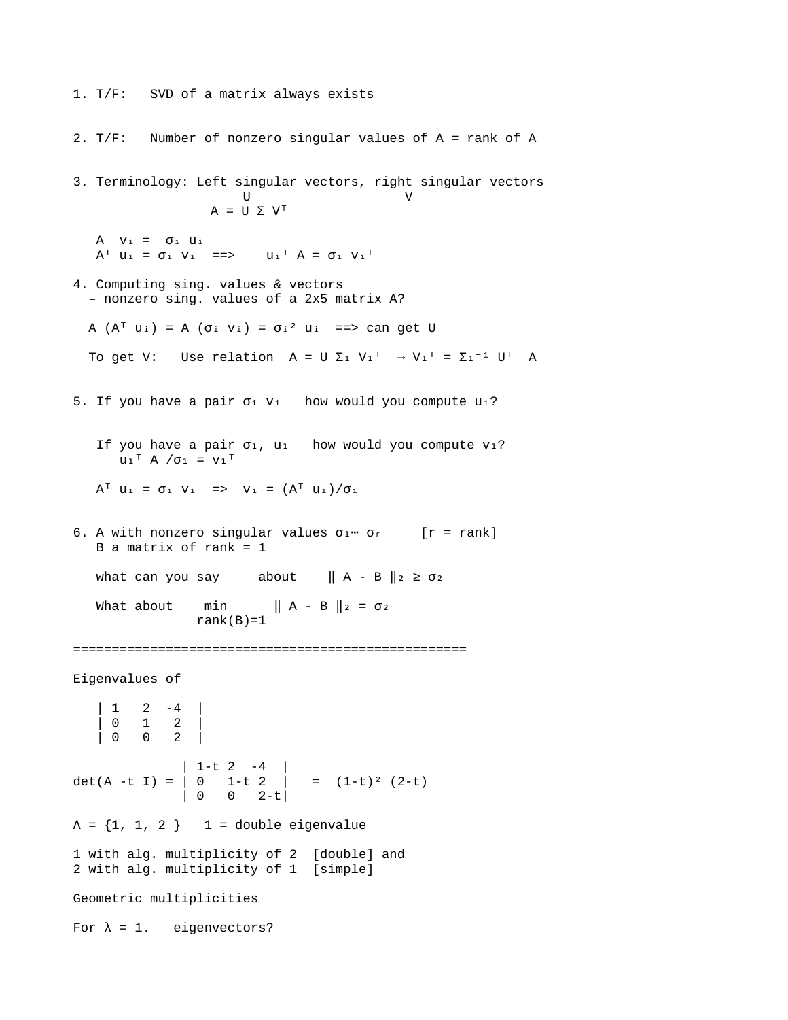1. T/F: SVD of a matrix always exists 2. T/F: Number of nonzero singular values of A = rank of A 3. Terminology: Left singular vectors, right singular vectors U V  $A = U \Sigma V^{T}$  $A \quad V_i = \sigma_i \quad U_i$  $A^{\dagger}$   $U_i = \sigma_i$   $V_i = \Rightarrow$   $U_i^{\dagger}$   $A = \sigma_i$   $V_i^{\dagger}$ 4. Computing sing. values & vectors – nonzero sing. values of a 2x5 matrix A? A  $(A^{\dagger} u_i) = A (\sigma_i v_i) = \sigma_i^2 u_i$  =  $\Rightarrow$  can get U To get V: Use relation  $A = U \Sigma_1 V_1^T \rightarrow V_1^T = \Sigma_1^{-1} U^T A$ 5. If you have a pair  $\sigma_i$  v<sub>i</sub> how would you compute u<sub>i</sub>? If you have a pair  $\sigma_1$ , u<sub>1</sub> how would you compute v<sub>1</sub>?  $U_1^T A / \sigma_1 = V_1^T$  $A^T$   $U_i = \sigma_i$   $V_i = \frac{1}{\sigma_i} \left( A^T U_i \right) / \sigma_i$ 6. A with nonzero singular values  $\sigma_1$   $\sigma_r$  [r = rank]  $B$  a matrix of rank = 1 what can you say about  $\| A - B \|_2 \ge \sigma_2$ What about  $min$   $|| A - B ||_2 = \sigma_2$ rank $(B)=1$ =================================================== Eigenvalues of | 1 2 -4 | | 0 1 2 | | 0 0 2 | | 1-t 2 -4 | det(A -t I) = | 0 1-t 2 | = (1-t)² (2-t) | 0 0 2-t|  $\Lambda = \{1, 1, 2\}$  1 = double eigenvalue 1 with alg. multiplicity of 2 [double] and 2 with alg. multiplicity of 1 [simple] Geometric multiplicities For  $\lambda = 1$ . eigenvectors?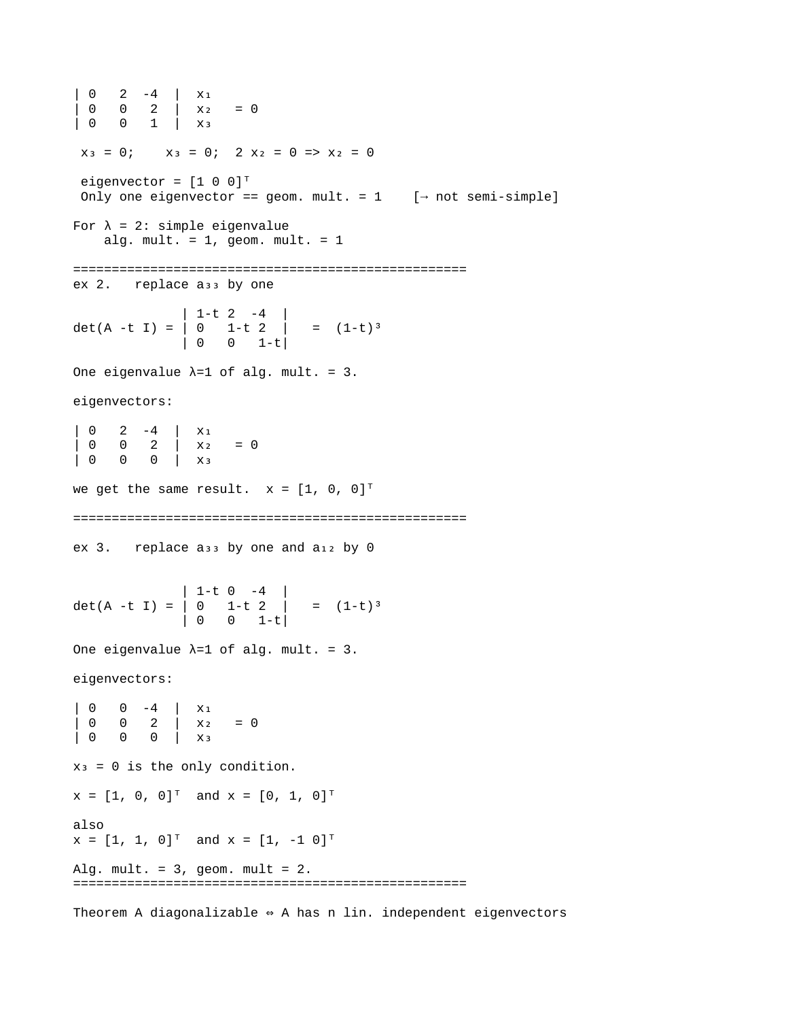| 0 2 -4 | x₁  $| 0 0 2 | x_2 = 0$ | 0 0 1 | x₃  $x_3 = 0$ ;  $x_3 = 0$ ;  $2 x_2 = 0 \Rightarrow x_2 = 0$ eigenvector =  $[1 \ 0 \ 0]^T$ Only one eigenvector == geom. mult. =  $1$  [ $\rightarrow$  not semi-simple] For  $\lambda = 2$ : simple eigenvalue alg. mult.  $= 1$ , geom. mult.  $= 1$ ===================================================  $ex 2.$  replace  $as<sub>3</sub>$  by one | 1-t 2 -4 | det(A -t I) = | 0 1-t 2 | = (1-t)³ | 0 0 1-t| One eigenvalue  $\lambda = 1$  of alg. mult. = 3. eigenvectors:  $\begin{vmatrix} 0 & 2 & -4 \end{vmatrix}$  X<sub>1</sub>  $\begin{array}{ccccccc} | & 0 & 0 & 2 & | & x_2 & = 0 \\ | & 0 & 0 & 0 & | & x_3 \end{array}$  $\theta$  |  $\chi_3$ we get the same result.  $x = \begin{bmatrix} 1 \\ 0 \\ 0 \end{bmatrix}^T$ =================================================== ex 3. replace a<sub>33</sub> by one and a<sub>12</sub> by 0 | 1-t 0 -4 | det(A -t I) = | 0 1-t 2 | = (1-t)³ | 0 0 1-t| One eigenvalue  $\lambda=1$  of alg. mult. = 3. eigenvectors: | 0 0 -4 | X<sub>1</sub><br>| 0 0 2 | X<sub>2</sub>  $\begin{array}{ccc} 0 & 2 & x_2 & = 0 \\ 0 & 0 & x_3 & \end{array}$ | 0 0 0 | x₃  $x_3 = 0$  is the only condition.  $x = [1, 0, 0]^{T}$  and  $x = [0, 1, 0]^{T}$ also  $x = [1, 1, 0]^{T}$  and  $x = [1, -1, 0]^{T}$ Alg. mult. =  $3$ , geom. mult =  $2$ . ===================================================

Theorem A diagonalizable  $\Leftrightarrow$  A has n lin. independent eigenvectors